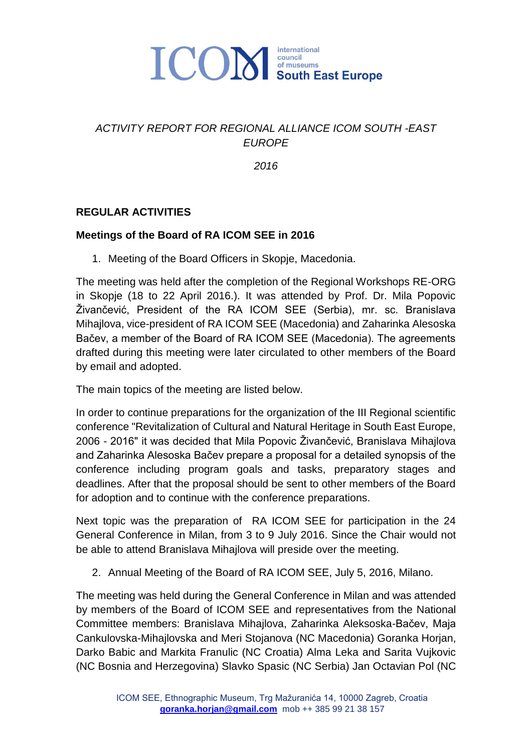

## *ACTIVITY REPORT FOR REGIONAL ALLIANCE ICOM SOUTH -EAST EUROPE*

*2016*

## **REGULAR ACTIVITIES**

#### **Meetings of the Board of RA ICOM SEE in 2016**

1. Meeting of the Board Officers in Skopje, Macedonia.

The meeting was held after the completion of the Regional Workshops RE-ORG in Skopje (18 to 22 April 2016.). It was attended by Prof. Dr. Mila Popovic Živančević, President of the RA ICOM SEE (Serbia), mr. sc. Branislava Mihajlova, vice-president of RA ICOM SEE (Macedonia) and Zaharinka Alesoska Bačev, a member of the Board of RA ICOM SEE (Macedonia). The agreements drafted during this meeting were later circulated to other members of the Board by email and adopted.

The main topics of the meeting are listed below.

In order to continue preparations for the organization of the III Regional scientific conference "Revitalization of Cultural and Natural Heritage in South East Europe, 2006 - 2016" it was decided that Mila Popovic Živančević, Branislava Mihajlova and Zaharinka Alesoska Bačev prepare a proposal for a detailed synopsis of the conference including program goals and tasks, preparatory stages and deadlines. After that the proposal should be sent to other members of the Board for adoption and to continue with the conference preparations.

Next topic was the preparation of RA ICOM SEE for participation in the 24 General Conference in Milan, from 3 to 9 July 2016. Since the Chair would not be able to attend Branislava Mihajlova will preside over the meeting.

2. Annual Meeting of the Board of RA ICOM SEE, July 5, 2016, Milano.

The meeting was held during the General Conference in Milan and was attended by members of the Board of ICOM SEE and representatives from the National Committee members: Branislava Mihajlova, Zaharinka Aleksoska-Bačev, Maja Cankulovska-Mihajlovska and Meri Stojanova (NC Macedonia) Goranka Horjan, Darko Babic and Markita Franulic (NC Croatia) Alma Leka and Sarita Vujkovic (NC Bosnia and Herzegovina) Slavko Spasic (NC Serbia) Jan Octavian Pol (NC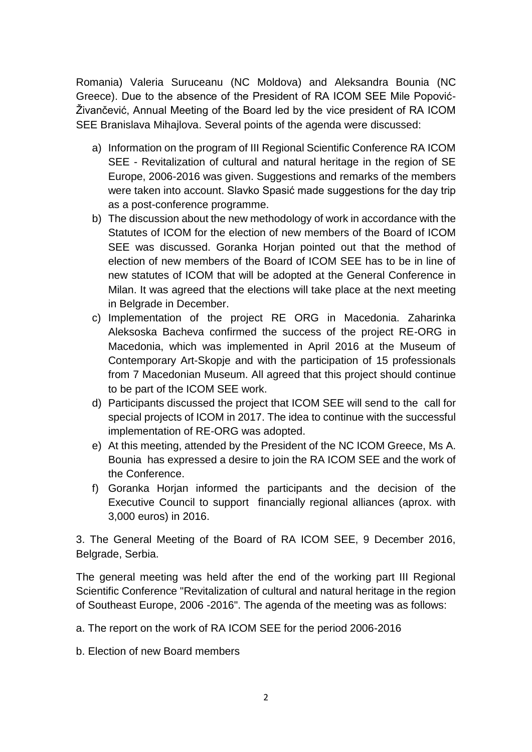Romania) Valeria Suruceanu (NC Moldova) and Aleksandra Bounia (NC Greece). Due to the absence of the President of RA ICOM SEE Mile Popović-Živančević, Annual Meeting of the Board led by the vice president of RA ICOM SEE Branislava Mihajlova. Several points of the agenda were discussed:

- a) Information on the program of III Regional Scientific Conference RA ICOM SEE - Revitalization of cultural and natural heritage in the region of SE Europe, 2006-2016 was given. Suggestions and remarks of the members were taken into account. Slavko Spasić made suggestions for the day trip as a post-conference programme.
- b) The discussion about the new methodology of work in accordance with the Statutes of ICOM for the election of new members of the Board of ICOM SEE was discussed. Goranka Horjan pointed out that the method of election of new members of the Board of ICOM SEE has to be in line of new statutes of ICOM that will be adopted at the General Conference in Milan. It was agreed that the elections will take place at the next meeting in Belgrade in December.
- c) Implementation of the project RE ORG in Macedonia. Zaharinka Aleksoska Bacheva confirmed the success of the project RE-ORG in Macedonia, which was implemented in April 2016 at the Museum of Contemporary Art-Skopje and with the participation of 15 professionals from 7 Macedonian Museum. All agreed that this project should continue to be part of the ICOM SEE work.
- d) Participants discussed the project that ICOM SEE will send to the call for special projects of ICOM in 2017. The idea to continue with the successful implementation of RE-ORG was adopted.
- e) At this meeting, attended by the President of the NC ICOM Greece, Ms A. Bounia has expressed a desire to join the RA ICOM SEE and the work of the Conference.
- f) Goranka Horjan informed the participants and the decision of the Executive Council to support financially regional alliances (aprox. with 3,000 euros) in 2016.

3. The General Meeting of the Board of RA ICOM SEE, 9 December 2016, Belgrade, Serbia.

The general meeting was held after the end of the working part III Regional Scientific Conference "Revitalization of cultural and natural heritage in the region of Southeast Europe, 2006 -2016". The agenda of the meeting was as follows:

a. The report on the work of RA ICOM SEE for the period 2006-2016

b. Election of new Board members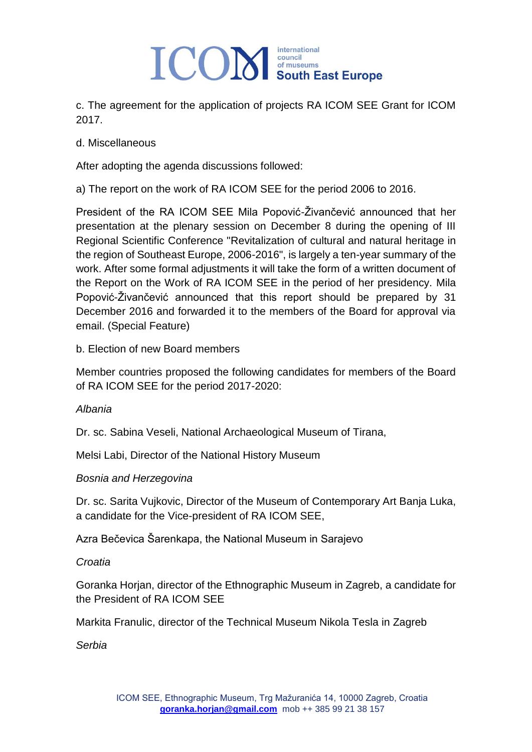c. The agreement for the application of projects RA ICOM SEE Grant for ICOM 2017.

d. Miscellaneous

After adopting the agenda discussions followed:

a) The report on the work of RA ICOM SEE for the period 2006 to 2016.

President of the RA ICOM SEE Mila Popović-Živančević announced that her presentation at the plenary session on December 8 during the opening of III Regional Scientific Conference "Revitalization of cultural and natural heritage in the region of Southeast Europe, 2006-2016", is largely a ten-year summary of the work. After some formal adjustments it will take the form of a written document of the Report on the Work of RA ICOM SEE in the period of her presidency. Mila Popović-Živančević announced that this report should be prepared by 31 December 2016 and forwarded it to the members of the Board for approval via email. (Special Feature)

b. Election of new Board members

Member countries proposed the following candidates for members of the Board of RA ICOM SEE for the period 2017-2020:

*Albania*

Dr. sc. Sabina Veseli, National Archaeological Museum of Tirana,

Melsi Labi, Director of the National History Museum

### *Bosnia and Herzegovina*

Dr. sc. Sarita Vujkovic, Director of the Museum of Contemporary Art Banja Luka, a candidate for the Vice-president of RA ICOM SEE,

Azra Bečevica Šarenkapa, the National Museum in Sarajevo

### *Croatia*

Goranka Horjan, director of the Ethnographic Museum in Zagreb, a candidate for the President of RA ICOM SEE

Markita Franulic, director of the Technical Museum Nikola Tesla in Zagreb

*Serbia*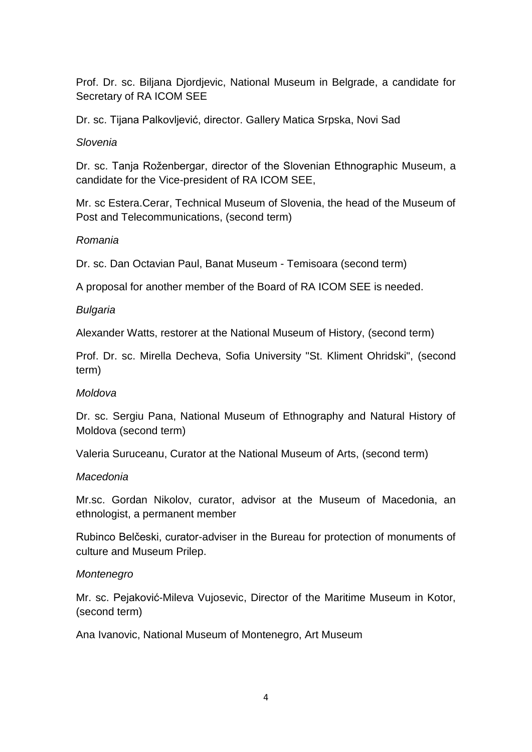Prof. Dr. sc. Biljana Djordjevic, National Museum in Belgrade, a candidate for Secretary of RA ICOM SEE

Dr. sc. Tijana Palkovljević, director. Gallery Matica Srpska, Novi Sad

#### *Slovenia*

Dr. sc. Tanja Roženbergar, director of the Slovenian Ethnographic Museum, a candidate for the Vice-president of RA ICOM SEE,

Mr. sc Estera.Cerar, Technical Museum of Slovenia, the head of the Museum of Post and Telecommunications, (second term)

#### *Romania*

Dr. sc. Dan Octavian Paul, Banat Museum - Temisoara (second term)

A proposal for another member of the Board of RA ICOM SEE is needed.

#### *Bulgaria*

Alexander Watts, restorer at the National Museum of History, (second term)

Prof. Dr. sc. Mirella Decheva, Sofia University "St. Kliment Ohridski", (second term)

#### *Moldova*

Dr. sc. Sergiu Pana, National Museum of Ethnography and Natural History of Moldova (second term)

Valeria Suruceanu, Curator at the National Museum of Arts, (second term)

#### *Macedonia*

Mr.sc. Gordan Nikolov, curator, advisor at the Museum of Macedonia, an ethnologist, a permanent member

Rubinco Belčeski, curator-adviser in the Bureau for protection of monuments of culture and Museum Prilep.

### *Montenegro*

Mr. sc. Pejaković-Mileva Vujosevic, Director of the Maritime Museum in Kotor, (second term)

Ana Ivanovic, National Museum of Montenegro, Art Museum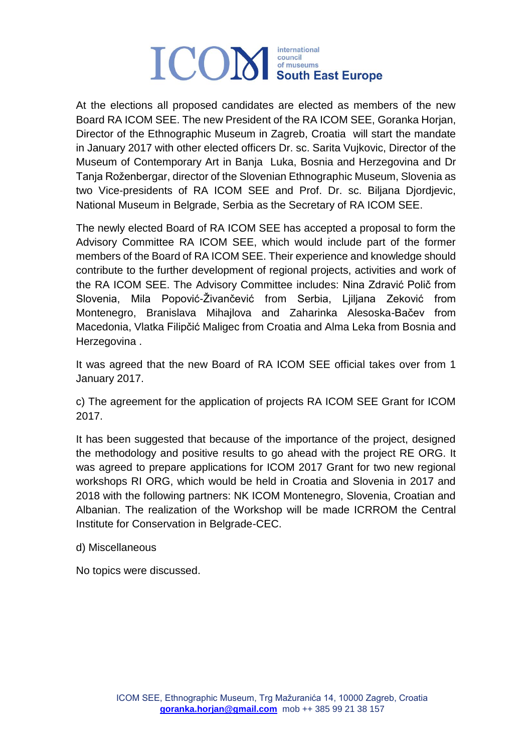At the elections all proposed candidates are elected as members of the new Board RA ICOM SEE. The new President of the RA ICOM SEE, Goranka Horjan, Director of the Ethnographic Museum in Zagreb, Croatia will start the mandate in January 2017 with other elected officers Dr. sc. Sarita Vujkovic, Director of the Museum of Contemporary Art in Banja Luka, Bosnia and Herzegovina and Dr Tanja Roženbergar, director of the Slovenian Ethnographic Museum, Slovenia as two Vice-presidents of RA ICOM SEE and Prof. Dr. sc. Biljana Djordjevic, National Museum in Belgrade, Serbia as the Secretary of RA ICOM SEE.

The newly elected Board of RA ICOM SEE has accepted a proposal to form the Advisory Committee RA ICOM SEE, which would include part of the former members of the Board of RA ICOM SEE. Their experience and knowledge should contribute to the further development of regional projects, activities and work of the RA ICOM SEE. The Advisory Committee includes: Nina Zdravić Polič from Slovenia, Mila Popović-Živančević from Serbia, Ljiljana Zeković from Montenegro, Branislava Mihajlova and Zaharinka Alesoska-Bačev from Macedonia, Vlatka Filipčić Maligec from Croatia and Alma Leka from Bosnia and Herzegovina .

It was agreed that the new Board of RA ICOM SEE official takes over from 1 January 2017.

c) The agreement for the application of projects RA ICOM SEE Grant for ICOM 2017.

It has been suggested that because of the importance of the project, designed the methodology and positive results to go ahead with the project RE ORG. It was agreed to prepare applications for ICOM 2017 Grant for two new regional workshops RI ORG, which would be held in Croatia and Slovenia in 2017 and 2018 with the following partners: NK ICOM Montenegro, Slovenia, Croatian and Albanian. The realization of the Workshop will be made ICRROM the Central Institute for Conservation in Belgrade-CEC.

#### d) Miscellaneous

No topics were discussed.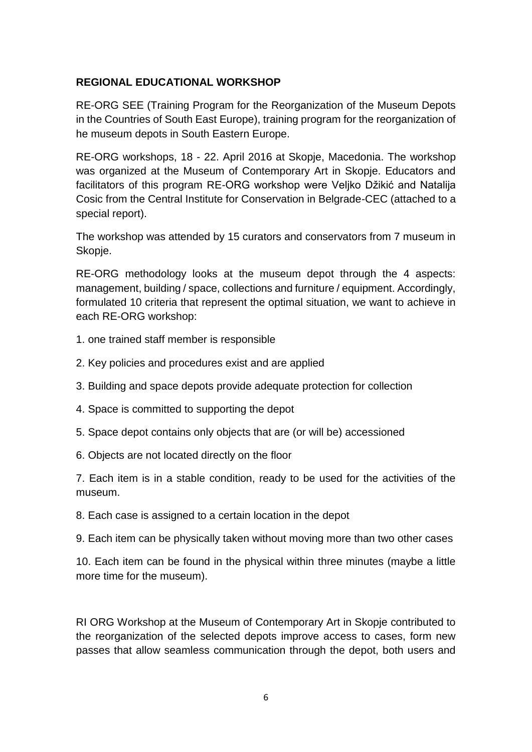#### **REGIONAL EDUCATIONAL WORKSHOP**

RE-ORG SEE (Training Program for the Reorganization of the Museum Depots in the Countries of South East Europe), training program for the reorganization of he museum depots in South Eastern Europe.

RE-ORG workshops, 18 - 22. April 2016 at Skopje, Macedonia. The workshop was organized at the Museum of Contemporary Art in Skopje. Educators and facilitators of this program RE-ORG workshop were Veljko Džikić and Natalija Cosic from the Central Institute for Conservation in Belgrade-CEC (attached to a special report).

The workshop was attended by 15 curators and conservators from 7 museum in Skopje.

RE-ORG methodology looks at the museum depot through the 4 aspects: management, building / space, collections and furniture / equipment. Accordingly, formulated 10 criteria that represent the optimal situation, we want to achieve in each RE-ORG workshop:

- 1. one trained staff member is responsible
- 2. Key policies and procedures exist and are applied
- 3. Building and space depots provide adequate protection for collection
- 4. Space is committed to supporting the depot
- 5. Space depot contains only objects that are (or will be) accessioned
- 6. Objects are not located directly on the floor

7. Each item is in a stable condition, ready to be used for the activities of the museum.

8. Each case is assigned to a certain location in the depot

9. Each item can be physically taken without moving more than two other cases

10. Each item can be found in the physical within three minutes (maybe a little more time for the museum).

RI ORG Workshop at the Museum of Contemporary Art in Skopje contributed to the reorganization of the selected depots improve access to cases, form new passes that allow seamless communication through the depot, both users and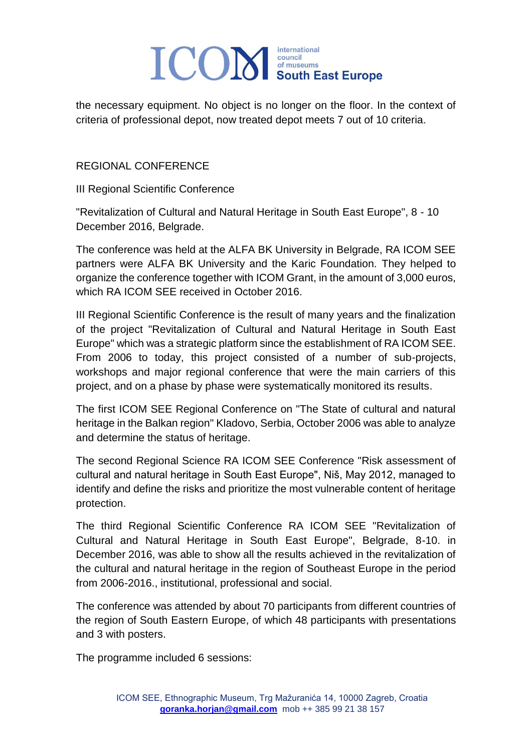the necessary equipment. No object is no longer on the floor. In the context of criteria of professional depot, now treated depot meets 7 out of 10 criteria.

## REGIONAL CONFERENCE

III Regional Scientific Conference

"Revitalization of Cultural and Natural Heritage in South East Europe", 8 - 10 December 2016, Belgrade.

The conference was held at the ALFA BK University in Belgrade, RA ICOM SEE partners were ALFA BK University and the Karic Foundation. They helped to organize the conference together with ICOM Grant, in the amount of 3,000 euros, which RA ICOM SEE received in October 2016.

III Regional Scientific Conference is the result of many years and the finalization of the project "Revitalization of Cultural and Natural Heritage in South East Europe" which was a strategic platform since the establishment of RA ICOM SEE. From 2006 to today, this project consisted of a number of sub-projects, workshops and major regional conference that were the main carriers of this project, and on a phase by phase were systematically monitored its results.

The first ICOM SEE Regional Conference on "The State of cultural and natural heritage in the Balkan region" Kladovo, Serbia, October 2006 was able to analyze and determine the status of heritage.

The second Regional Science RA ICOM SEE Conference "Risk assessment of cultural and natural heritage in South East Europe", Niš, May 2012, managed to identify and define the risks and prioritize the most vulnerable content of heritage protection.

The third Regional Scientific Conference RA ICOM SEE "Revitalization of Cultural and Natural Heritage in South East Europe", Belgrade, 8-10. in December 2016, was able to show all the results achieved in the revitalization of the cultural and natural heritage in the region of Southeast Europe in the period from 2006-2016., institutional, professional and social.

The conference was attended by about 70 participants from different countries of the region of South Eastern Europe, of which 48 participants with presentations and 3 with posters.

The programme included 6 sessions: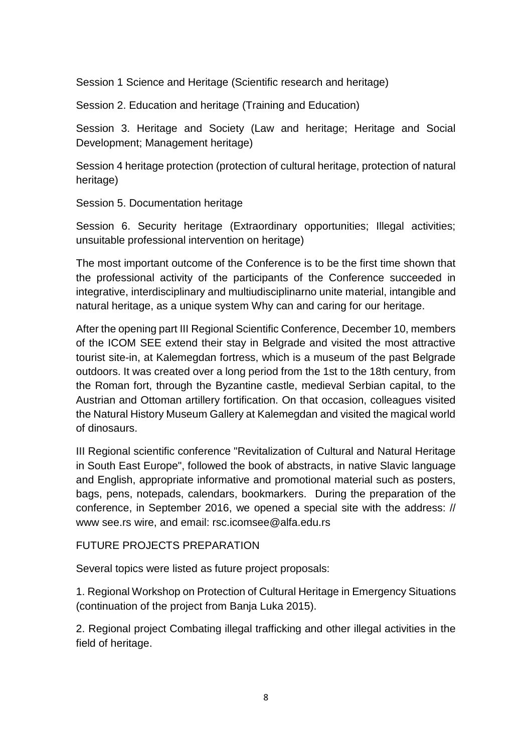Session 1 Science and Heritage (Scientific research and heritage)

Session 2. Education and heritage (Training and Education)

Session 3. Heritage and Society (Law and heritage; Heritage and Social Development; Management heritage)

Session 4 heritage protection (protection of cultural heritage, protection of natural heritage)

Session 5. Documentation heritage

Session 6. Security heritage (Extraordinary opportunities; Illegal activities; unsuitable professional intervention on heritage)

The most important outcome of the Conference is to be the first time shown that the professional activity of the participants of the Conference succeeded in integrative, interdisciplinary and multiudisciplinarno unite material, intangible and natural heritage, as a unique system Why can and caring for our heritage.

After the opening part III Regional Scientific Conference, December 10, members of the ICOM SEE extend their stay in Belgrade and visited the most attractive tourist site-in, at Kalemegdan fortress, which is a museum of the past Belgrade outdoors. It was created over a long period from the 1st to the 18th century, from the Roman fort, through the Byzantine castle, medieval Serbian capital, to the Austrian and Ottoman artillery fortification. On that occasion, colleagues visited the Natural History Museum Gallery at Kalemegdan and visited the magical world of dinosaurs.

III Regional scientific conference "Revitalization of Cultural and Natural Heritage in South East Europe", followed the book of abstracts, in native Slavic language and English, appropriate informative and promotional material such as posters, bags, pens, notepads, calendars, bookmarkers. During the preparation of the conference, in September 2016, we opened a special site with the address: // www see.rs wire, and email: rsc.icomsee@alfa.edu.rs

FUTURE PROJECTS PREPARATION

Several topics were listed as future project proposals:

1. Regional Workshop on Protection of Cultural Heritage in Emergency Situations (continuation of the project from Banja Luka 2015).

2. Regional project Combating illegal trafficking and other illegal activities in the field of heritage.